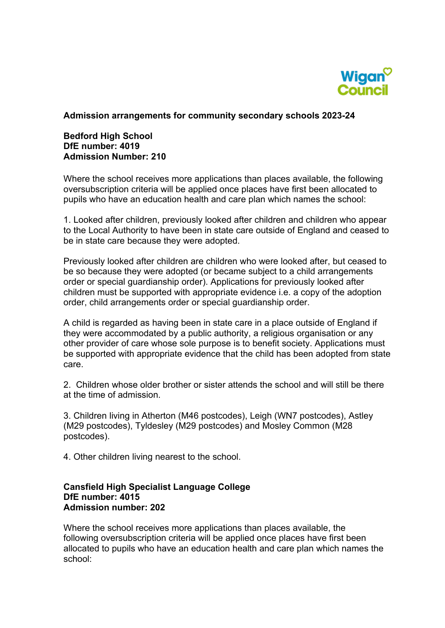

#### **Admission arrangements for community secondary schools 2023-24**

## **Bedford High School DfE number: 4019 Admission Number: 210**

Where the school receives more applications than places available, the following oversubscription criteria will be applied once places have first been allocated to pupils who have an education health and care plan which names the school:

1. Looked after children, previously looked after children and children who appear to the Local Authority to have been in state care outside of England and ceased to be in state care because they were adopted.

Previously looked after children are children who were looked after, but ceased to be so because they were adopted (or became subject to a child arrangements order or special guardianship order). Applications for previously looked after children must be supported with appropriate evidence i.e. a copy of the adoption order, child arrangements order or special guardianship order.

A child is regarded as having been in state care in a place outside of England if they were accommodated by a public authority, a religious organisation or any other provider of care whose sole purpose is to benefit society. Applications must be supported with appropriate evidence that the child has been adopted from state care.

 at the time of admission. 2. Children whose older brother or sister attends the school and will still be there

3. Children living in Atherton (M46 postcodes), Leigh (WN7 postcodes), Astley (M29 postcodes), Tyldesley (M29 postcodes) and Mosley Common (M28 postcodes).

4. Other children living nearest to the school.

## **Admission number: 202 Cansfield High Specialist Language College DfE number: 4015**

Where the school receives more applications than places available, the following oversubscription criteria will be applied once places have first been allocated to pupils who have an education health and care plan which names the school: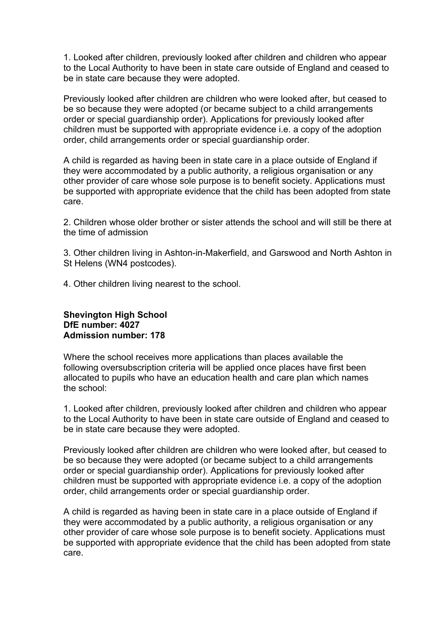1. Looked after children, previously looked after children and children who appear to the Local Authority to have been in state care outside of England and ceased to be in state care because they were adopted.

Previously looked after children are children who were looked after, but ceased to be so because they were adopted (or became subject to a child arrangements order or special guardianship order). Applications for previously looked after children must be supported with appropriate evidence i.e. a copy of the adoption order, child arrangements order or special guardianship order.

A child is regarded as having been in state care in a place outside of England if they were accommodated by a public authority, a religious organisation or any other provider of care whose sole purpose is to benefit society. Applications must be supported with appropriate evidence that the child has been adopted from state care.

2. Children whose older brother or sister attends the school and will still be there at the time of admission

3. Other children living in Ashton-in-Makerfield, and Garswood and North Ashton in St Helens (WN4 postcodes).

4. Other children living nearest to the school.

#### **Admission number: 178 Shevington High School DfE number: 4027**

Where the school receives more applications than places available the following oversubscription criteria will be applied once places have first been allocated to pupils who have an education health and care plan which names the school:

1. Looked after children, previously looked after children and children who appear to the Local Authority to have been in state care outside of England and ceased to be in state care because they were adopted.

Previously looked after children are children who were looked after, but ceased to be so because they were adopted (or became subject to a child arrangements order or special guardianship order). Applications for previously looked after children must be supported with appropriate evidence i.e. a copy of the adoption order, child arrangements order or special guardianship order.

A child is regarded as having been in state care in a place outside of England if they were accommodated by a public authority, a religious organisation or any other provider of care whose sole purpose is to benefit society. Applications must be supported with appropriate evidence that the child has been adopted from state care.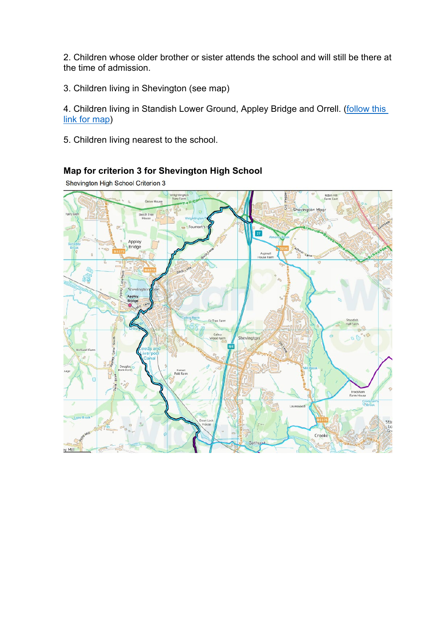2. Children whose older brother or sister attends the school and will still be there at the time of admission.

3. Children living in Shevington (see map)

4. Children living in Standish Lower Ground, Appley Bridge and Orrell. (follow this [link for map\)](https://wigan.maps.arcgis.com/apps/webappviewer/index.html?id=b4a0843894df443a90bb7239a2681648)

5. Children living nearest to the school.

# **Map for criterion 3 for Shevington High School**

Shevington High School Criterion 3

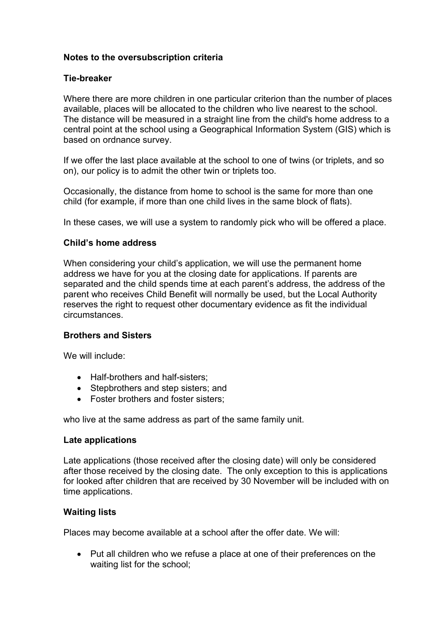# **Notes to the oversubscription criteria**

## **Tie-breaker**

 central point at the school using a Geographical Information System (GIS) which is Where there are more children in one particular criterion than the number of places available, places will be allocated to the children who live nearest to the school. The distance will be measured in a straight line from the child's home address to a based on ordnance survey.

If we offer the last place available at the school to one of twins (or triplets, and so on), our policy is to admit the other twin or triplets too.

Occasionally, the distance from home to school is the same for more than one child (for example, if more than one child lives in the same block of flats).

In these cases, we will use a system to randomly pick who will be offered a place.

## **Child's home address**

When considering your child's application, we will use the permanent home address we have for you at the closing date for applications. If parents are separated and the child spends time at each parent's address, the address of the parent who receives Child Benefit will normally be used, but the Local Authority reserves the right to request other documentary evidence as fit the individual circumstances.

#### **Brothers and Sisters**

We will include:

- Half-brothers and half-sisters;
- Stepbrothers and step sisters; and
- Foster brothers and foster sisters;

who live at the same address as part of the same family unit.

#### **Late applications**

 time applications. Late applications (those received after the closing date) will only be considered after those received by the closing date. The only exception to this is applications for looked after children that are received by 30 November will be included with on

#### **Waiting lists**

Places may become available at a school after the offer date. We will:

• Put all children who we refuse a place at one of their preferences on the waiting list for the school;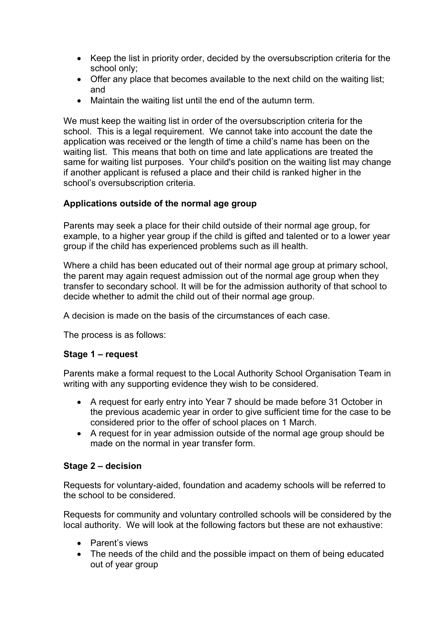- Keep the list in priority order, decided by the oversubscription criteria for the school only;
- Offer any place that becomes available to the next child on the waiting list; and
- Maintain the waiting list until the end of the autumn term.

 school. This is a legal requirement. We cannot take into account the date the We must keep the waiting list in order of the oversubscription criteria for the application was received or the length of time a child's name has been on the waiting list. This means that both on time and late applications are treated the same for waiting list purposes. Your child's position on the waiting list may change if another applicant is refused a place and their child is ranked higher in the school's oversubscription criteria.

# **Applications outside of the normal age group**

 group if the child has experienced problems such as ill health. Parents may seek a place for their child outside of their normal age group, for example, to a higher year group if the child is gifted and talented or to a lower year

Where a child has been educated out of their normal age group at primary school, the parent may again request admission out of the normal age group when they transfer to secondary school. It will be for the admission authority of that school to decide whether to admit the child out of their normal age group.

A decision is made on the basis of the circumstances of each case.

The process is as follows:

## **Stage 1 – request**

Parents make a formal request to the Local Authority School Organisation Team in writing with any supporting evidence they wish to be considered.

- A request for early entry into Year 7 should be made before 31 October in the previous academic year in order to give sufficient time for the case to be considered prior to the offer of school places on 1 March.
- made on the normal in year transfer form. • A request for in year admission outside of the normal age group should be

# **Stage 2 – decision**

Requests for voluntary-aided, foundation and academy schools will be referred to the school to be considered.

Requests for community and voluntary controlled schools will be considered by the local authority. We will look at the following factors but these are not exhaustive:

- Parent's views
- The needs of the child and the possible impact on them of being educated out of year group